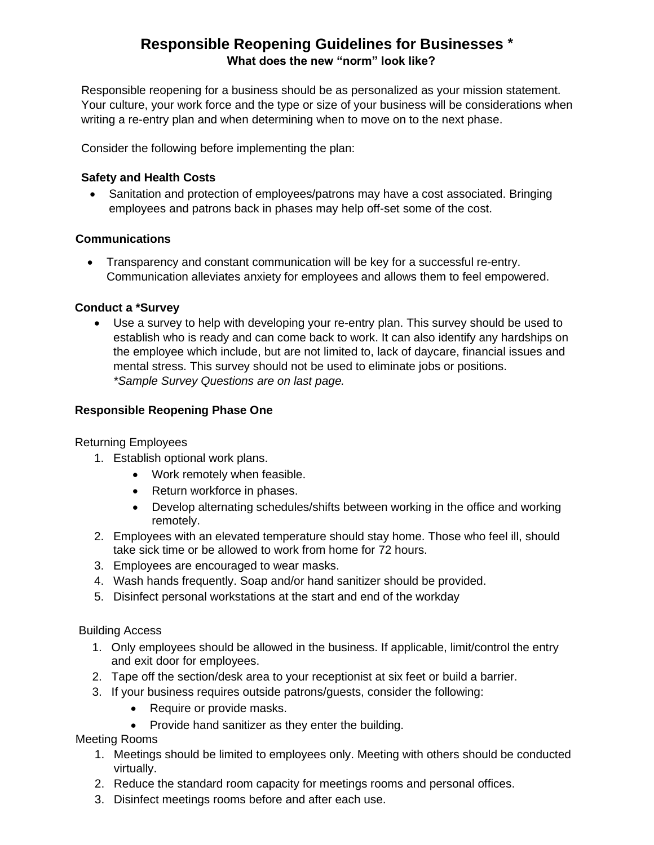# **Responsible Reopening Guidelines for Businesses \* What does the new "norm" look like?**

Responsible reopening for a business should be as personalized as your mission statement. Your culture, your work force and the type or size of your business will be considerations when writing a re-entry plan and when determining when to move on to the next phase.

Consider the following before implementing the plan:

# **Safety and Health Costs**

• Sanitation and protection of employees/patrons may have a cost associated. Bringing employees and patrons back in phases may help off-set some of the cost.

# **Communications**

• Transparency and constant communication will be key for a successful re-entry. Communication alleviates anxiety for employees and allows them to feel empowered.

# **Conduct a \*Survey**

• Use a survey to help with developing your re-entry plan. This survey should be used to establish who is ready and can come back to work. It can also identify any hardships on the employee which include, but are not limited to, lack of daycare, financial issues and mental stress. This survey should not be used to eliminate jobs or positions. *\*Sample Survey Questions are on last page.*

# **Responsible Reopening Phase One**

# Returning Employees

- 1. Establish optional work plans.
	- Work remotely when feasible.
	- Return workforce in phases.
	- Develop alternating schedules/shifts between working in the office and working remotely.
- 2. Employees with an elevated temperature should stay home. Those who feel ill, should take sick time or be allowed to work from home for 72 hours.
- 3. Employees are encouraged to wear masks.
- 4. Wash hands frequently. Soap and/or hand sanitizer should be provided.
- 5. Disinfect personal workstations at the start and end of the workday

Building Access

- 1. Only employees should be allowed in the business. If applicable, limit/control the entry and exit door for employees.
- 2. Tape off the section/desk area to your receptionist at six feet or build a barrier.
- 3. If your business requires outside patrons/guests, consider the following:
	- Require or provide masks.
	- Provide hand sanitizer as they enter the building.

# Meeting Rooms

- 1. Meetings should be limited to employees only. Meeting with others should be conducted virtually.
- 2. Reduce the standard room capacity for meetings rooms and personal offices.
- 3. Disinfect meetings rooms before and after each use.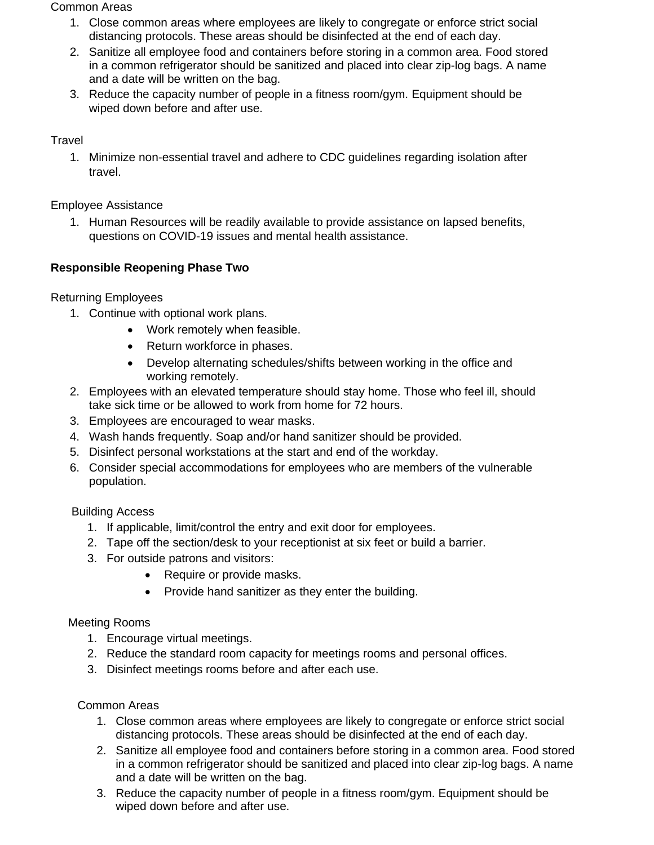#### Common Areas

- 1. Close common areas where employees are likely to congregate or enforce strict social distancing protocols. These areas should be disinfected at the end of each day.
- 2. Sanitize all employee food and containers before storing in a common area. Food stored in a common refrigerator should be sanitized and placed into clear zip-log bags. A name and a date will be written on the bag.
- 3. Reduce the capacity number of people in a fitness room/gym. Equipment should be wiped down before and after use.

### **Travel**

1. Minimize non-essential travel and adhere to CDC guidelines regarding isolation after travel.

Employee Assistance

1. Human Resources will be readily available to provide assistance on lapsed benefits, questions on COVID-19 issues and mental health assistance.

# **Responsible Reopening Phase Two**

Returning Employees

- 1. Continue with optional work plans.
	- Work remotely when feasible.
	- Return workforce in phases.
	- Develop alternating schedules/shifts between working in the office and working remotely.
- 2. Employees with an elevated temperature should stay home. Those who feel ill, should take sick time or be allowed to work from home for 72 hours.
- 3. Employees are encouraged to wear masks.
- 4. Wash hands frequently. Soap and/or hand sanitizer should be provided.
- 5. Disinfect personal workstations at the start and end of the workday.
- 6. Consider special accommodations for employees who are members of the vulnerable population.

# Building Access

- 1. If applicable, limit/control the entry and exit door for employees.
- 2. Tape off the section/desk to your receptionist at six feet or build a barrier.
- 3. For outside patrons and visitors:
	- Require or provide masks.
	- Provide hand sanitizer as they enter the building.

#### Meeting Rooms

- 1. Encourage virtual meetings.
- 2. Reduce the standard room capacity for meetings rooms and personal offices.
- 3. Disinfect meetings rooms before and after each use.

#### Common Areas

- 1. Close common areas where employees are likely to congregate or enforce strict social distancing protocols. These areas should be disinfected at the end of each day.
- 2. Sanitize all employee food and containers before storing in a common area. Food stored in a common refrigerator should be sanitized and placed into clear zip-log bags. A name and a date will be written on the bag.
- 3. Reduce the capacity number of people in a fitness room/gym. Equipment should be wiped down before and after use.